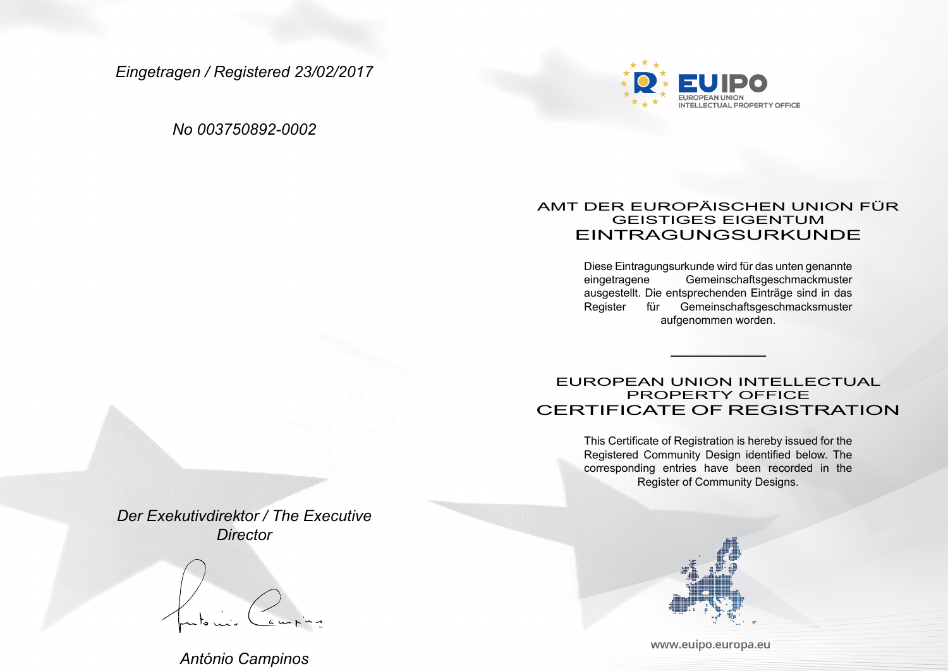*Eingetragen / Registered 23/02/2017*

*No 003750892-0002*



## AMT DER EUROPÄISCHEN UNION FÜR GEISTIGES EIGENTUM EINTRAGUNGSURKUNDE

Diese Eintragungsurkunde wird für das unten genannte Gemeinschaftsgeschmackmuster ausgestellt. Die entsprechenden Einträge sind in das Register für Gemeinschaftsgeschmacksmuster aufgenommen worden.

EUROPEAN UNION INTELLECTUAL PROPERTY OFFICE CERTIFICATE OF REGISTRATION

> This Certificate of Registration is hereby issued for the Registered Community Design identified below. The corresponding entries have been recorded in the Register of Community Designs.

*Der Exekutivdirektor / The Executive Director*

*António Campinos*



www.euipo.europa.eu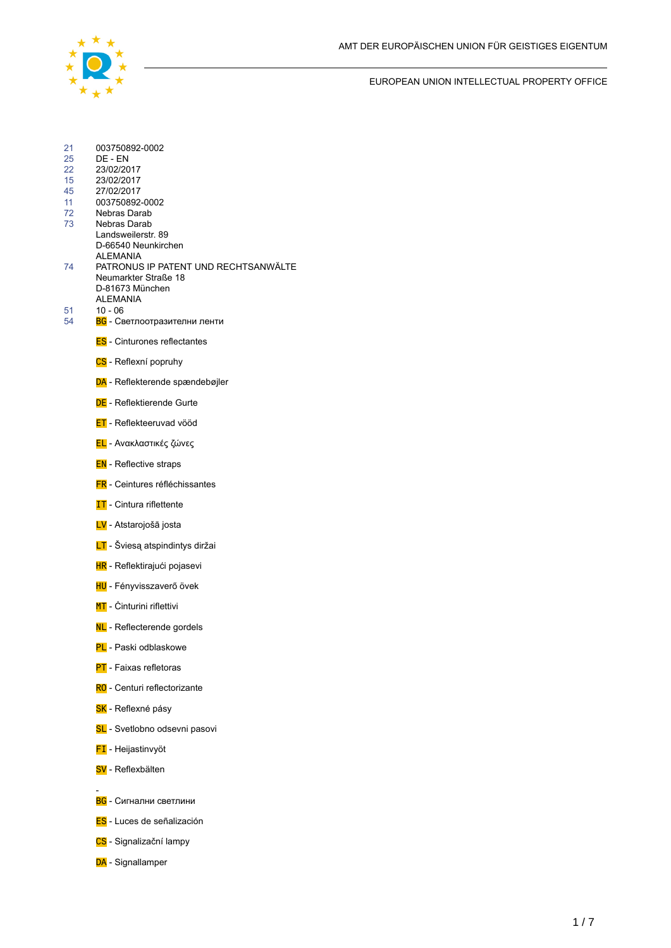EUROPEAN UNION INTELLECTUAL PROPERTY OFFICE

| 21       | 003750892-0002                                   |
|----------|--------------------------------------------------|
| 25<br>22 | DE - EN                                          |
| 15       | 23/02/2017<br>23/02/2017                         |
| 45       | 27/02/2017                                       |
| 11<br>72 | 003750892-0002<br>Nebras Darab                   |
| 73       | Nebras Darab                                     |
|          | Landsweilerstr, 89<br>D-66540 Neunkirchen        |
| 74       | ALEMANIA<br>PATRONUS IP PATENT UND RECHTSANWÄLTE |
|          | Neumarkter Straße 18                             |
|          | D-81673 München<br><b>ALEMANIA</b>               |
| 51       | $10 - 06$                                        |
| 54       | <b>BG</b> - Светлоотразителни ленти              |
|          | <b>ES</b> - Cinturones reflectantes              |
|          | CS - Reflexní popruhy                            |
|          | DA - Reflekterende spændebøjler                  |
|          | <b>DE</b> - Reflektierende Gurte                 |
|          | <b>ET</b> - Reflekteeruvad vööd                  |
|          | <mark>ΕL</mark> - Ανακλαστικές ζώνες             |
|          | <b>EN</b> - Reflective straps                    |
|          | <b>FR</b> - Ceintures réfléchissantes            |
|          | <b>IT</b> - Cintura riflettente                  |
|          | LV - Atstarojošā josta                           |
|          | LT - Šviesą atspindintys diržai                  |
|          | <b>HR</b> - Reflektirajući pojasevi              |
|          | HU - Fényvisszaverő övek                         |
|          | <b>MT</b> - Cinturini riflettivi                 |
|          | NL-Reflecterende gordels                         |
|          | PL - Paski odblaskowe                            |
|          | <b>PT</b> - Faixas refletoras                    |
|          | RO - Centuri reflectorizante                     |
|          | SK - Reflexné pásy                               |
|          | SL - Svetlobno odsevni pasovi                    |
|          | <b>FI</b> - Heijastinvyöt                        |
|          | SV - Reflexbälten                                |
|          | <b>BG</b> - Сигнални светлини                    |
|          | <b>ES</b> - Luces de señalización                |
|          | CS - Signalizační lampy                          |
|          | DA - Signallamper                                |
|          |                                                  |